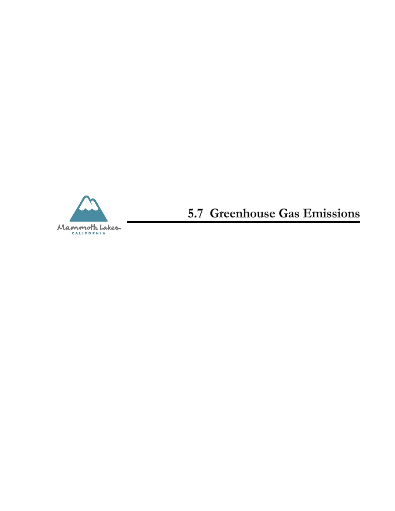

5.7 Greenhouse Gas Emissions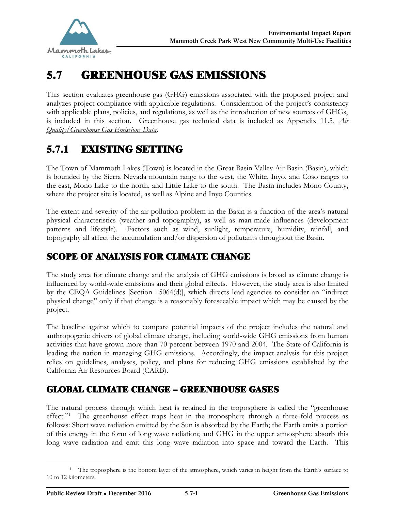

# 5.7 GREENHOUSE GAS EMISSIONS

This section evaluates greenhouse gas (GHG) emissions associated with the proposed project and analyzes project compliance with applicable regulations. Consideration of the project's consistency with applicable plans, policies, and regulations, as well as the introduction of new sources of GHGs, is included in this section. Greenhouse gas technical data is included as Appendix 11.5, *Air Quality/Greenhouse Gas Emissions Data*.

# 5.7.1 EXISTING SETTING

The Town of Mammoth Lakes (Town) is located in the Great Basin Valley Air Basin (Basin), which is bounded by the Sierra Nevada mountain range to the west, the White, Inyo, and Coso ranges to the east, Mono Lake to the north, and Little Lake to the south. The Basin includes Mono County, where the project site is located, as well as Alpine and Inyo Counties.

The extent and severity of the air pollution problem in the Basin is a function of the area's natural physical characteristics (weather and topography), as well as man-made influences (development patterns and lifestyle). Factors such as wind, sunlight, temperature, humidity, rainfall, and topography all affect the accumulation and/or dispersion of pollutants throughout the Basin.

# SCOPE OF ANALYSIS FOR CLIMATE CHANGE

The study area for climate change and the analysis of GHG emissions is broad as climate change is influenced by world-wide emissions and their global effects. However, the study area is also limited by the CEQA Guidelines [Section 15064(d)], which directs lead agencies to consider an "indirect physical change" only if that change is a reasonably foreseeable impact which may be caused by the project.

The baseline against which to compare potential impacts of the project includes the natural and anthropogenic drivers of global climate change, including world-wide GHG emissions from human activities that have grown more than 70 percent between 1970 and 2004. The State of California is leading the nation in managing GHG emissions. Accordingly, the impact analysis for this project relies on guidelines, analyses, policy, and plans for reducing GHG emissions established by the California Air Resources Board (CARB).

## GLOBAL CLIMATE CHANGE – GREENHOUSE GASES

The natural process through which heat is retained in the troposphere is called the "greenhouse effect."<sup>1</sup> The greenhouse effect traps heat in the troposphere through a three-fold process as follows: Short wave radiation emitted by the Sun is absorbed by the Earth; the Earth emits a portion of this energy in the form of long wave radiation; and GHG in the upper atmosphere absorb this long wave radiation and emit this long wave radiation into space and toward the Earth. This

<sup>&</sup>lt;sup>1</sup> The troposphere is the bottom layer of the atmosphere, which varies in height from the Earth's surface to 10 to 12 kilometers.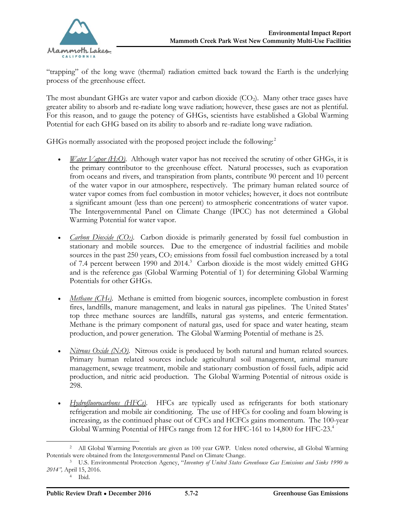

"trapping" of the long wave (thermal) radiation emitted back toward the Earth is the underlying process of the greenhouse effect.

The most abundant GHGs are water vapor and carbon dioxide  $(CO<sub>2</sub>)$ . Many other trace gases have greater ability to absorb and re-radiate long wave radiation; however, these gases are not as plentiful. For this reason, and to gauge the potency of GHGs, scientists have established a Global Warming Potential for each GHG based on its ability to absorb and re-radiate long wave radiation.

GHGs normally associated with the proposed project include the following:<sup>2</sup>

- *Water Vapor (H<sub>2</sub>O)*. Although water vapor has not received the scrutiny of other GHGs, it is the primary contributor to the greenhouse effect. Natural processes, such as evaporation from oceans and rivers, and transpiration from plants, contribute 90 percent and 10 percent of the water vapor in our atmosphere, respectively. The primary human related source of water vapor comes from fuel combustion in motor vehicles; however, it does not contribute a significant amount (less than one percent) to atmospheric concentrations of water vapor. The Intergovernmental Panel on Climate Change (IPCC) has not determined a Global Warming Potential for water vapor.
- · *Carbon Dioxide (CO2)*. Carbon dioxide is primarily generated by fossil fuel combustion in stationary and mobile sources. Due to the emergence of industrial facilities and mobile sources in the past  $250$  years,  $CO<sub>2</sub>$  emissions from fossil fuel combustion increased by a total of 7.4 percent between 1990 and 2014.<sup>3</sup> Carbon dioxide is the most widely emitted GHG and is the reference gas (Global Warming Potential of 1) for determining Global Warming Potentials for other GHGs.
- · *Methane (CH4)*. Methane is emitted from biogenic sources, incomplete combustion in forest fires, landfills, manure management, and leaks in natural gas pipelines. The United States' top three methane sources are landfills, natural gas systems, and enteric fermentation. Methane is the primary component of natural gas, used for space and water heating, steam production, and power generation. The Global Warming Potential of methane is 25.
- · *Nitrous Oxide (N2O)*. Nitrous oxide is produced by both natural and human related sources. Primary human related sources include agricultural soil management, animal manure management, sewage treatment, mobile and stationary combustion of fossil fuels, adipic acid production, and nitric acid production. The Global Warming Potential of nitrous oxide is 298.
- · *Hydrofluorocarbons (HFCs)*. HFCs are typically used as refrigerants for both stationary refrigeration and mobile air conditioning. The use of HFCs for cooling and foam blowing is increasing, as the continued phase out of CFCs and HCFCs gains momentum. The 100-year Global Warming Potential of HFCs range from 12 for HFC-161 to 14,800 for HFC-23.<sup>4</sup>

 $\overline{a}$ 

<sup>2</sup> All Global Warming Potentials are given as 100 year GWP. Unless noted otherwise, all Global Warming Potentials were obtained from the Intergovernmental Panel on Climate Change.

<sup>3</sup> U.S. Environmental Protection Agency, "*Inventory of United States Greenhouse Gas Emissions and Sinks 1990 to 2014",* April 15, 2016.

<sup>4</sup> Ibid.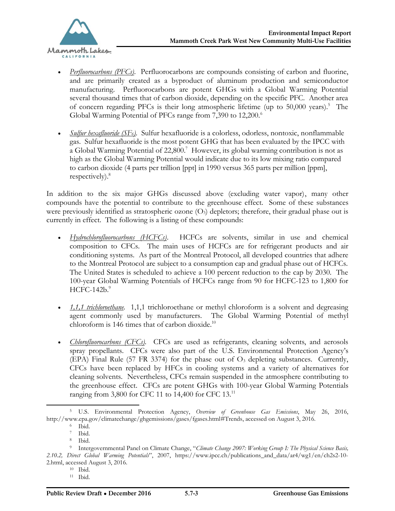

- *Perfluorocarbons (PFCs)*. Perfluorocarbons are compounds consisting of carbon and fluorine, and are primarily created as a byproduct of aluminum production and semiconductor manufacturing. Perfluorocarbons are potent GHGs with a Global Warming Potential several thousand times that of carbon dioxide, depending on the specific PFC. Another area of concern regarding PFCs is their long atmospheric lifetime (up to 50,000 years).<sup>5</sup> The Global Warming Potential of PFCs range from 7,390 to 12,200.<sup>6</sup>
- · *Sulfur hexafluoride (SF6)*. Sulfur hexafluoride is a colorless, odorless, nontoxic, nonflammable gas. Sulfur hexafluoride is the most potent GHG that has been evaluated by the IPCC with a Global Warming Potential of 22,800.<sup>7</sup> However, its global warming contribution is not as high as the Global Warming Potential would indicate due to its low mixing ratio compared to carbon dioxide (4 parts per trillion [ppt] in 1990 versus 365 parts per million [ppm], respectively). $8$

In addition to the six major GHGs discussed above (excluding water vapor), many other compounds have the potential to contribute to the greenhouse effect. Some of these substances were previously identified as stratospheric ozone  $(O<sub>3</sub>)$  depletors; therefore, their gradual phase out is currently in effect. The following is a listing of these compounds:

- · *Hydrochlorofluorocarbons (HCFCs)*. HCFCs are solvents, similar in use and chemical composition to CFCs. The main uses of HCFCs are for refrigerant products and air conditioning systems. As part of the Montreal Protocol, all developed countries that adhere to the Montreal Protocol are subject to a consumption cap and gradual phase out of HCFCs. The United States is scheduled to achieve a 100 percent reduction to the cap by 2030. The 100-year Global Warming Potentials of HCFCs range from 90 for HCFC-123 to 1,800 for  $HCFC-142b.9$
- · *1,1,1 trichloroethane.* 1,1,1 trichloroethane or methyl chloroform is a solvent and degreasing agent commonly used by manufacturers. The Global Warming Potential of methyl chloroform is 146 times that of carbon dioxide. $10$
- · *Chlorofluorocarbons (CFCs)*. CFCs are used as refrigerants, cleaning solvents, and aerosols spray propellants. CFCs were also part of the U.S. Environmental Protection Agency's (EPA) Final Rule (57 FR 3374) for the phase out of  $O<sub>3</sub>$  depleting substances. Currently, CFCs have been replaced by HFCs in cooling systems and a variety of alternatives for cleaning solvents. Nevertheless, CFCs remain suspended in the atmosphere contributing to the greenhouse effect. CFCs are potent GHGs with 100-year Global Warming Potentials ranging from 3,800 for CFC 11 to 14,400 for CFC 13.<sup>11</sup>

<sup>5</sup> U.S. Environmental Protection Agency, *Overview of Greenhouse Gas Emissions*, May 26, 2016, [http://www.epa.gov/climatechange/ghgemissions/gases/fgases.html#Trends, accessed on August 3, 2016.](http://www.epa.gov/climatechange/ghgemissions/gases/fgases.html#Trends, accessed on August 3, 2016. )

<sup>6</sup> Ibid.

<sup>7</sup> Ibid.

<sup>8</sup> Ibid.

<sup>9</sup> Intergovernmental Panel on Climate Change, "*Climate Change 2007: Working Group I: The Physical Science Basis, 2.10.2, Direct Global Warming Potentials*", 2007, [https://www.ipcc.ch/publications\\_and\\_data/ar4/wg1/en/ch2s2-10-](https://www.ipcc.ch/publications_and_data/ar4/wg1/en/ch2s2-10-) 2.html, accessed August 3, 2016.

<sup>10</sup> Ibid.

<sup>11</sup> Ibid.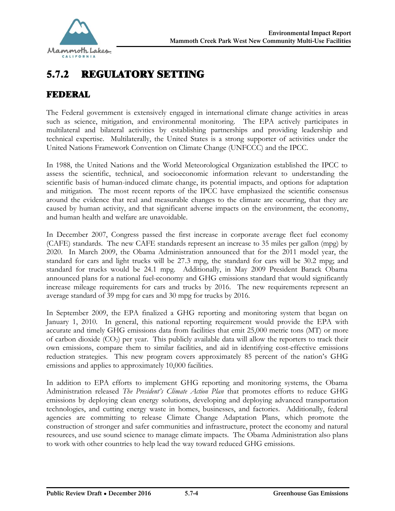

# 5.7.2 REGULATORY SETTING

### FEDERAL

The Federal government is extensively engaged in international climate change activities in areas such as science, mitigation, and environmental monitoring. The EPA actively participates in multilateral and bilateral activities by establishing partnerships and providing leadership and technical expertise. Multilaterally, the United States is a strong supporter of activities under the United Nations Framework Convention on Climate Change (UNFCCC) and the IPCC.

In 1988, the United Nations and the World Meteorological Organization established the IPCC to assess the scientific, technical, and socioeconomic information relevant to understanding the scientific basis of human-induced climate change, its potential impacts, and options for adaptation and mitigation. The most recent reports of the IPCC have emphasized the scientific consensus around the evidence that real and measurable changes to the climate are occurring, that they are caused by human activity, and that significant adverse impacts on the environment, the economy, and human health and welfare are unavoidable.

In December 2007, Congress passed the first increase in corporate average fleet fuel economy (CAFE) standards. The new CAFE standards represent an increase to 35 miles per gallon (mpg) by 2020. In March 2009, the Obama Administration announced that for the 2011 model year, the standard for cars and light trucks will be 27.3 mpg, the standard for cars will be 30.2 mpg; and standard for trucks would be 24.1 mpg. Additionally, in May 2009 President Barack Obama announced plans for a national fuel-economy and GHG emissions standard that would significantly increase mileage requirements for cars and trucks by 2016. The new requirements represent an average standard of 39 mpg for cars and 30 mpg for trucks by 2016.

In September 2009, the EPA finalized a GHG reporting and monitoring system that began on January 1, 2010. In general, this national reporting requirement would provide the EPA with accurate and timely GHG emissions data from facilities that emit 25,000 metric tons (MT) or more of carbon dioxide  $(CO_2)$  per year. This publicly available data will allow the reporters to track their own emissions, compare them to similar facilities, and aid in identifying cost-effective emissions reduction strategies. This new program covers approximately 85 percent of the nation's GHG emissions and applies to approximately 10,000 facilities.

In addition to EPA efforts to implement GHG reporting and monitoring systems, the Obama Administration released *The President's Climate Action Plan* that promotes efforts to reduce GHG emissions by deploying clean energy solutions, developing and deploying advanced transportation technologies, and cutting energy waste in homes, businesses, and factories. Additionally, federal agencies are committing to release Climate Change Adaptation Plans, which promote the construction of stronger and safer communities and infrastructure, protect the economy and natural resources, and use sound science to manage climate impacts. The Obama Administration also plans to work with other countries to help lead the way toward reduced GHG emissions.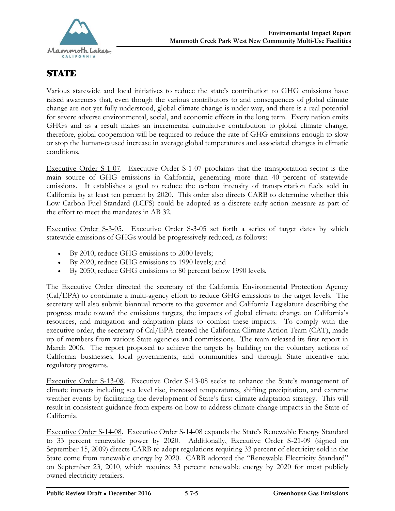

# **STATE**

Various statewide and local initiatives to reduce the state's contribution to GHG emissions have raised awareness that, even though the various contributors to and consequences of global climate change are not yet fully understood, global climate change is under way, and there is a real potential for severe adverse environmental, social, and economic effects in the long term. Every nation emits GHGs and as a result makes an incremental cumulative contribution to global climate change; therefore, global cooperation will be required to reduce the rate of GHG emissions enough to slow or stop the human-caused increase in average global temperatures and associated changes in climatic conditions.

Executive Order S-1-07. Executive Order S-1-07 proclaims that the transportation sector is the main source of GHG emissions in California, generating more than 40 percent of statewide emissions. It establishes a goal to reduce the carbon intensity of transportation fuels sold in California by at least ten percent by 2020. This order also directs CARB to determine whether this Low Carbon Fuel Standard (LCFS) could be adopted as a discrete early-action measure as part of the effort to meet the mandates in AB 32.

Executive Order S-3-05. Executive Order S-3-05 set forth a series of target dates by which statewide emissions of GHGs would be progressively reduced, as follows:

- · By 2010, reduce GHG emissions to 2000 levels;
- · By 2020, reduce GHG emissions to 1990 levels; and
- By 2050, reduce GHG emissions to 80 percent below 1990 levels.

The Executive Order directed the secretary of the California Environmental Protection Agency (Cal/EPA) to coordinate a multi-agency effort to reduce GHG emissions to the target levels. The secretary will also submit biannual reports to the governor and California Legislature describing the progress made toward the emissions targets, the impacts of global climate change on California's resources, and mitigation and adaptation plans to combat these impacts. To comply with the executive order, the secretary of Cal/EPA created the California Climate Action Team (CAT), made up of members from various State agencies and commissions. The team released its first report in March 2006. The report proposed to achieve the targets by building on the voluntary actions of California businesses, local governments, and communities and through State incentive and regulatory programs.

Executive Order S-13-08. Executive Order S-13-08 seeks to enhance the State's management of climate impacts including sea level rise, increased temperatures, shifting precipitation, and extreme weather events by facilitating the development of State's first climate adaptation strategy. This will result in consistent guidance from experts on how to address climate change impacts in the State of California.

Executive Order S-14-08. Executive Order S-14-08 expands the State's Renewable Energy Standard to 33 percent renewable power by 2020. Additionally, Executive Order S-21-09 (signed on September 15, 2009) directs CARB to adopt regulations requiring 33 percent of electricity sold in the State come from renewable energy by 2020. CARB adopted the "Renewable Electricity Standard" on September 23, 2010, which requires 33 percent renewable energy by 2020 for most publicly owned electricity retailers.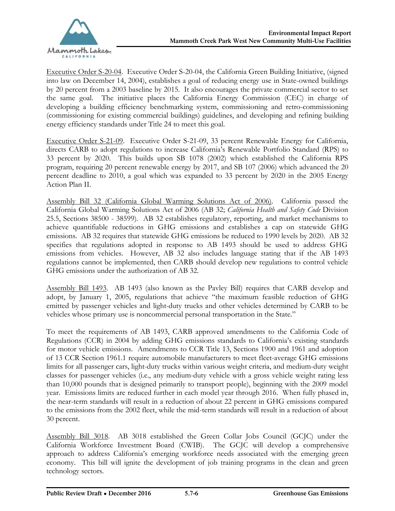

Executive Order S-20-04. Executive Order S-20-04, the California Green Building Initiative, (signed into law on December 14, 2004), establishes a goal of reducing energy use in State-owned buildings by 20 percent from a 2003 baseline by 2015. It also encourages the private commercial sector to set the same goal. The initiative places the California Energy Commission (CEC) in charge of developing a building efficiency benchmarking system, commissioning and retro-commissioning (commissioning for existing commercial buildings) guidelines, and developing and refining building energy efficiency standards under Title 24 to meet this goal.

Executive Order S-21-09. Executive Order S-21-09, 33 percent Renewable Energy for California, directs CARB to adopt regulations to increase California's Renewable Portfolio Standard (RPS) to 33 percent by 2020. This builds upon SB 1078 (2002) which established the California RPS program, requiring 20 percent renewable energy by 2017, and SB 107 (2006) which advanced the 20 percent deadline to 2010, a goal which was expanded to 33 percent by 2020 in the 2005 Energy Action Plan II.

Assembly Bill 32 (California Global Warming Solutions Act of 2006). California passed the California Global Warming Solutions Act of 2006 (AB 32; *California Health and Safety Code* Division 25.5, Sections 38500 - 38599). AB 32 establishes regulatory, reporting, and market mechanisms to achieve quantifiable reductions in GHG emissions and establishes a cap on statewide GHG emissions. AB 32 requires that statewide GHG emissions be reduced to 1990 levels by 2020. AB 32 specifies that regulations adopted in response to AB 1493 should be used to address GHG emissions from vehicles. However, AB 32 also includes language stating that if the AB 1493 regulations cannot be implemented, then CARB should develop new regulations to control vehicle GHG emissions under the authorization of AB 32.

Assembly Bill 1493. AB 1493 (also known as the Pavley Bill) requires that CARB develop and adopt, by January 1, 2005, regulations that achieve "the maximum feasible reduction of GHG emitted by passenger vehicles and light-duty trucks and other vehicles determined by CARB to be vehicles whose primary use is noncommercial personal transportation in the State."

To meet the requirements of AB 1493, CARB approved amendments to the California Code of Regulations (CCR) in 2004 by adding GHG emissions standards to California's existing standards for motor vehicle emissions. Amendments to CCR Title 13, Sections 1900 and 1961 and adoption of 13 CCR Section 1961.1 require automobile manufacturers to meet fleet-average GHG emissions limits for all passenger cars, light-duty trucks within various weight criteria, and medium-duty weight classes for passenger vehicles (i.e., any medium-duty vehicle with a gross vehicle weight rating less than 10,000 pounds that is designed primarily to transport people), beginning with the 2009 model year. Emissions limits are reduced further in each model year through 2016. When fully phased in, the near-term standards will result in a reduction of about 22 percent in GHG emissions compared to the emissions from the 2002 fleet, while the mid-term standards will result in a reduction of about 30 percent.

Assembly Bill 3018. AB 3018 established the Green Collar Jobs Council (GCJC) under the California Workforce Investment Board (CWIB). The GCJC will develop a comprehensive approach to address California's emerging workforce needs associated with the emerging green economy. This bill will ignite the development of job training programs in the clean and green technology sectors.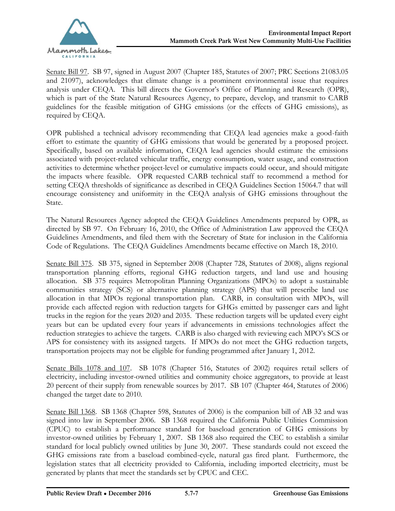

Senate Bill 97. SB 97, signed in August 2007 (Chapter 185, Statutes of 2007; PRC Sections 21083.05 and 21097), acknowledges that climate change is a prominent environmental issue that requires analysis under CEQA. This bill directs the Governor's Office of Planning and Research (OPR), which is part of the State Natural Resources Agency, to prepare, develop, and transmit to CARB guidelines for the feasible mitigation of GHG emissions (or the effects of GHG emissions), as required by CEQA.

OPR published a technical advisory recommending that CEQA lead agencies make a good-faith effort to estimate the quantity of GHG emissions that would be generated by a proposed project. Specifically, based on available information, CEQA lead agencies should estimate the emissions associated with project-related vehicular traffic, energy consumption, water usage, and construction activities to determine whether project-level or cumulative impacts could occur, and should mitigate the impacts where feasible. OPR requested CARB technical staff to recommend a method for setting CEQA thresholds of significance as described in CEQA Guidelines Section 15064.7 that will encourage consistency and uniformity in the CEQA analysis of GHG emissions throughout the State.

The Natural Resources Agency adopted the CEQA Guidelines Amendments prepared by OPR, as directed by SB 97. On February 16, 2010, the Office of Administration Law approved the CEQA Guidelines Amendments, and filed them with the Secretary of State for inclusion in the California Code of Regulations. The CEQA Guidelines Amendments became effective on March 18, 2010.

Senate Bill 375. SB 375, signed in September 2008 (Chapter 728, Statutes of 2008), aligns regional transportation planning efforts, regional GHG reduction targets, and land use and housing allocation. SB 375 requires Metropolitan Planning Organizations (MPOs) to adopt a sustainable communities strategy (SCS) or alternative planning strategy (APS) that will prescribe land use allocation in that MPOs regional transportation plan. CARB, in consultation with MPOs, will provide each affected region with reduction targets for GHGs emitted by passenger cars and light trucks in the region for the years 2020 and 2035. These reduction targets will be updated every eight years but can be updated every four years if advancements in emissions technologies affect the reduction strategies to achieve the targets. CARB is also charged with reviewing each MPO's SCS or APS for consistency with its assigned targets. If MPOs do not meet the GHG reduction targets, transportation projects may not be eligible for funding programmed after January 1, 2012.

Senate Bills 1078 and 107. SB 1078 (Chapter 516, Statutes of 2002) requires retail sellers of electricity, including investor-owned utilities and community choice aggregators, to provide at least 20 percent of their supply from renewable sources by 2017. SB 107 (Chapter 464, Statutes of 2006) changed the target date to 2010.

Senate Bill 1368. SB 1368 (Chapter 598, Statutes of 2006) is the companion bill of AB 32 and was signed into law in September 2006. SB 1368 required the California Public Utilities Commission (CPUC) to establish a performance standard for baseload generation of GHG emissions by investor-owned utilities by February 1, 2007. SB 1368 also required the CEC to establish a similar standard for local publicly owned utilities by June 30, 2007. These standards could not exceed the GHG emissions rate from a baseload combined-cycle, natural gas fired plant. Furthermore, the legislation states that all electricity provided to California, including imported electricity, must be generated by plants that meet the standards set by CPUC and CEC.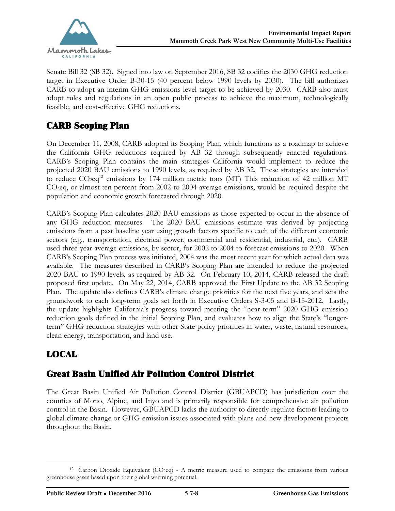

Senate Bill 32 (SB 32). Signed into law on September 2016, SB 32 codifies the 2030 GHG reduction target in Executive Order B-30-15 (40 percent below 1990 levels by 2030). The bill authorizes CARB to adopt an interim GHG emissions level target to be achieved by 2030. CARB also must adopt rules and regulations in an open public process to achieve the maximum, technologically feasible, and cost-effective GHG reductions.

# CARB Scoping Plan

On December 11, 2008, CARB adopted its Scoping Plan, which functions as a roadmap to achieve the California GHG reductions required by AB 32 through subsequently enacted regulations. CARB's Scoping Plan contains the main strategies California would implement to reduce the projected 2020 BAU emissions to 1990 levels, as required by AB 32. These strategies are intended to reduce  $CO_2$ eq<sup>12</sup> emissions by 174 million metric tons (MT) This reduction of 42 million MT CO2eq, or almost ten percent from 2002 to 2004 average emissions, would be required despite the population and economic growth forecasted through 2020.

CARB's Scoping Plan calculates 2020 BAU emissions as those expected to occur in the absence of any GHG reduction measures. The 2020 BAU emissions estimate was derived by projecting emissions from a past baseline year using growth factors specific to each of the different economic sectors (e.g., transportation, electrical power, commercial and residential, industrial, etc.). CARB used three-year average emissions, by sector, for 2002 to 2004 to forecast emissions to 2020. When CARB's Scoping Plan process was initiated, 2004 was the most recent year for which actual data was available. The measures described in CARB's Scoping Plan are intended to reduce the projected 2020 BAU to 1990 levels, as required by AB 32. On February 10, 2014, CARB released the draft proposed first update. On May 22, 2014, CARB approved the First Update to the AB 32 Scoping Plan. The update also defines CARB's climate change priorities for the next five years, and sets the groundwork to each long-term goals set forth in Executive Orders S-3-05 and B-15-2012. Lastly, the update highlights California's progress toward meeting the "near-term" 2020 GHG emission reduction goals defined in the initial Scoping Plan, and evaluates how to align the State's "longerterm" GHG reduction strategies with other State policy priorities in water, waste, natural resources, clean energy, transportation, and land use.

# LOCAL

## Great Basin Unified Air Pollution Control District

The Great Basin Unified Air Pollution Control District (GBUAPCD) has jurisdiction over the counties of Mono, Alpine, and Inyo and is primarily responsible for comprehensive air pollution control in the Basin. However, GBUAPCD lacks the authority to directly regulate factors leading to global climate change or GHG emission issues associated with plans and new development projects throughout the Basin.

 <sup>12</sup> Carbon Dioxide Equivalent (CO<sub>2</sub>eq) - A metric measure used to compare the emissions from various greenhouse gases based upon their global warming potential.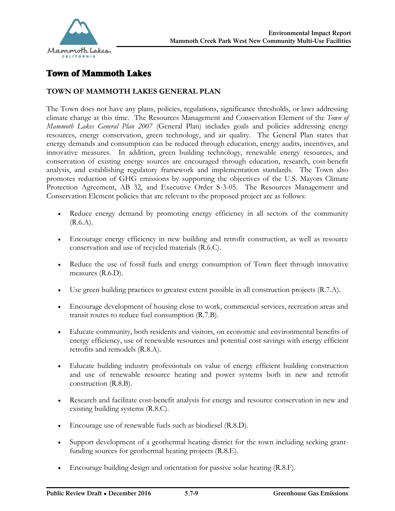

# Town of Mammoth Lakes

### **TOWN OF MAMMOTH LAKES GENERAL PLAN**

The Town does not have any plans, policies, regulations, significance thresholds, or laws addressing climate change at this time. The Resources Management and Conservation Element of the *Town of Mammoth Lakes General Plan 2007* (General Plan) includes goals and policies addressing energy resources, energy conservation, green technology, and air quality. The General Plan states that energy demands and consumption can be reduced through education, energy audits, incentives, and innovative measures. In addition, green building technology, renewable energy resources, and conservation of existing energy sources are encouraged through education, research, cost-benefit analysis, and establishing regulatory framework and implementation standards. The Town also promotes reduction of GHG emissions by supporting the objectives of the U.S. Mayors Climate Protection Agreement, AB 32, and Executive Order S-3-05. The Resources Management and Conservation Element policies that are relevant to the proposed project are as follows:

- · Reduce energy demand by promoting energy efficiency in all sectors of the community  $(R.6.A)$ .
- · Encourage energy efficiency in new building and retrofit construction, as well as resource conservation and use of recycled materials (R.6.C).
- · Reduce the use of fossil fuels and energy consumption of Town fleet through innovative measures (R.6.D).
- · Use green building practices to greatest extent possible in all construction projects (R.7.A).
- · Encourage development of housing close to work, commercial services, recreation areas and transit routes to reduce fuel consumption (R.7.B).
- · Educate community, both residents and visitors, on economic and environmental benefits of energy efficiency, use of renewable resources and potential cost savings with energy efficient retrofits and remodels (R.8.A).
- · Educate building industry professionals on value of energy efficient building construction and use of renewable resource heating and power systems both in new and retrofit construction (R.8.B).
- · Research and facilitate cost-benefit analysis for energy and resource conservation in new and existing building systems (R.8.C).
- · Encourage use of renewable fuels such as biodiesel (R.8.D).
- Support development of a geothermal heating district for the town including seeking grantfunding sources for geothermal heating projects (R.8.E).
- · Encourage building design and orientation for passive solar heating (R.8.F).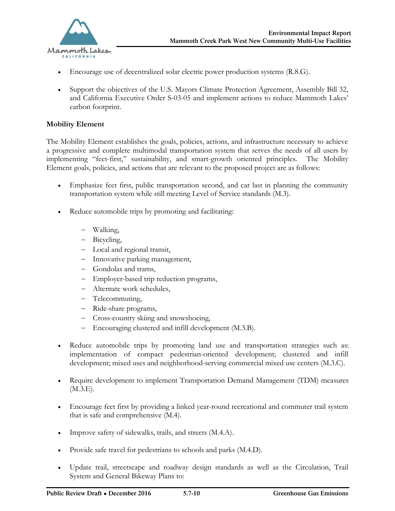

- Encourage use of decentralized solar electric power production systems (R.8.G).
- · Support the objectives of the U.S. Mayors Climate Protection Agreement, Assembly Bill 32, and California Executive Order S-03-05 and implement actions to reduce Mammoth Lakes' carbon footprint.

### **Mobility Element**

The Mobility Element establishes the goals, policies, actions, and infrastructure necessary to achieve a progressive and complete multimodal transportation system that serves the needs of all users by implementing "feet-first," sustainability, and smart-growth oriented principles. The Mobility Element goals, policies, and actions that are relevant to the proposed project are as follows:

- Emphasize feet first, public transportation second, and car last in planning the community transportation system while still meeting Level of Service standards (M.3).
- · Reduce automobile trips by promoting and facilitating:
	- Walking,
	- Bicycling,
	- Local and regional transit,
	- Innovative parking management,
	- Gondolas and trams,
	- Employer-based trip reduction programs,
	- Alternate work schedules,
	- Telecommuting,
	- Ride-share programs,
	- Cross-country skiing and snowshoeing,
	- Encouraging clustered and infill development (M.3.B).
- · Reduce automobile trips by promoting land use and transportation strategies such as: implementation of compact pedestrian-oriented development; clustered and infill development; mixed uses and neighborhood-serving commercial mixed use centers (M.3.C).
- · Require development to implement Transportation Demand Management (TDM) measures (M.3.E).
- · Encourage feet first by providing a linked year-round recreational and commuter trail system that is safe and comprehensive (M.4).
- · Improve safety of sidewalks, trails, and streets (M.4.A).
- · Provide safe travel for pedestrians to schools and parks (M.4.D).
- · Update trail, streetscape and roadway design standards as well as the Circulation, Trail System and General Bikeway Plans to: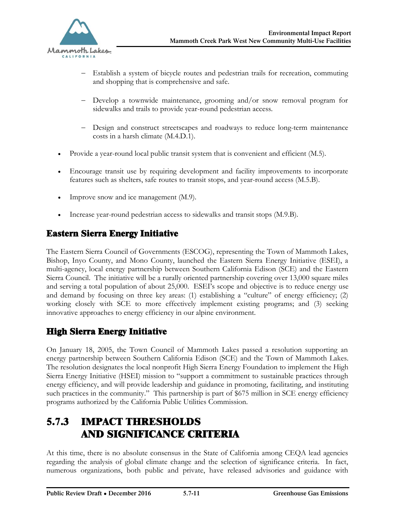

- Establish a system of bicycle routes and pedestrian trails for recreation, commuting and shopping that is comprehensive and safe.
- Develop a townwide maintenance, grooming and/or snow removal program for sidewalks and trails to provide year-round pedestrian access.
- Design and construct streetscapes and roadways to reduce long-term maintenance costs in a harsh climate (M.4.D.1).
- · Provide a year-round local public transit system that is convenient and efficient (M.5).
- · Encourage transit use by requiring development and facility improvements to incorporate features such as shelters, safe routes to transit stops, and year-round access (M.5.B).
- Improve snow and ice management (M.9).
- Increase year-round pedestrian access to sidewalks and transit stops (M.9.B).

## Eastern Sierra Energy Initiative

The Eastern Sierra Council of Governments (ESCOG), representing the Town of Mammoth Lakes, Bishop, Inyo County, and Mono County, launched the Eastern Sierra Energy Initiative (ESEI), a multi-agency, local energy partnership between Southern California Edison (SCE) and the Eastern Sierra Council. The initiative will be a rurally oriented partnership covering over 13,000 square miles and serving a total population of about 25,000. ESEI's scope and objective is to reduce energy use and demand by focusing on three key areas: (1) establishing a "culture" of energy efficiency; (2) working closely with SCE to more effectively implement existing programs; and (3) seeking innovative approaches to energy efficiency in our alpine environment.

## High Sierra Energy Initiative

On January 18, 2005, the Town Council of Mammoth Lakes passed a resolution supporting an energy partnership between Southern California Edison (SCE) and the Town of Mammoth Lakes. The resolution designates the local nonprofit High Sierra Energy Foundation to implement the High Sierra Energy Initiative (HSEI) mission to "support a commitment to sustainable practices through energy efficiency, and will provide leadership and guidance in promoting, facilitating, and instituting such practices in the community." This partnership is part of \$675 million in SCE energy efficiency programs authorized by the California Public Utilities Commission.

# 5.7.3 IMPACT THRESHOLDS AND SIGNIFICANCE CRITERIA

At this time, there is no absolute consensus in the State of California among CEQA lead agencies regarding the analysis of global climate change and the selection of significance criteria. In fact, numerous organizations, both public and private, have released advisories and guidance with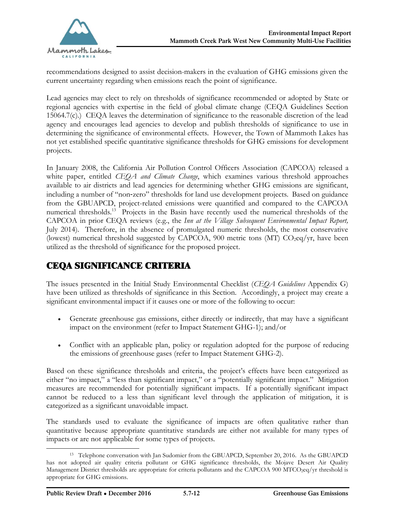

recommendations designed to assist decision-makers in the evaluation of GHG emissions given the current uncertainty regarding when emissions reach the point of significance.

Lead agencies may elect to rely on thresholds of significance recommended or adopted by State or regional agencies with expertise in the field of global climate change (CEQA Guidelines Section 15064.7(c).) CEQA leaves the determination of significance to the reasonable discretion of the lead agency and encourages lead agencies to develop and publish thresholds of significance to use in determining the significance of environmental effects. However, the Town of Mammoth Lakes has not yet established specific quantitative significance thresholds for GHG emissions for development projects.

In January 2008, the California Air Pollution Control Officers Association (CAPCOA) released a white paper, entitled *CEQA and Climate Change*, which examines various threshold approaches available to air districts and lead agencies for determining whether GHG emissions are significant, including a number of "non‐zero" thresholds for land use development projects. Based on guidance from the GBUAPCD, project-related emissions were quantified and compared to the CAPCOA numerical thresholds.<sup>13</sup> Projects in the Basin have recently used the numerical thresholds of the CAPCOA in prior CEQA reviews (e.g., the *Inn at the Village Subsequent Environmental Impact Report,*  July 2014). Therefore, in the absence of promulgated numeric thresholds, the most conservative (lowest) numerical threshold suggested by CAPCOA, 900 metric tons (MT)  $CO<sub>2</sub>eq/yr$ , have been utilized as the threshold of significance for the proposed project.

## CEQA SIGNIFICANCE CRITERIA

The issues presented in the Initial Study Environmental Checklist (*CEQA Guidelines* Appendix G) have been utilized as thresholds of significance in this Section. Accordingly, a project may create a significant environmental impact if it causes one or more of the following to occur:

- · Generate greenhouse gas emissions, either directly or indirectly, that may have a significant impact on the environment (refer to Impact Statement GHG-1); and/or
- · Conflict with an applicable plan, policy or regulation adopted for the purpose of reducing the emissions of greenhouse gases (refer to Impact Statement GHG-2).

Based on these significance thresholds and criteria, the project's effects have been categorized as either "no impact," a "less than significant impact," or a "potentially significant impact." Mitigation measures are recommended for potentially significant impacts. If a potentially significant impact cannot be reduced to a less than significant level through the application of mitigation, it is categorized as a significant unavoidable impact.

The standards used to evaluate the significance of impacts are often qualitative rather than quantitative because appropriate quantitative standards are either not available for many types of impacts or are not applicable for some types of projects.

 $\overline{a}$ <sup>13</sup> Telephone conversation with Jan Sudomier from the GBUAPCD, September 20, 2016. As the GBUAPCD has not adopted air quality criteria pollutant or GHG significance thresholds, the Mojave Desert Air Quality Management District thresholds are appropriate for criteria pollutants and the CAPCOA 900 MTCO<sub>2</sub>eq/yr threshold is appropriate for GHG emissions.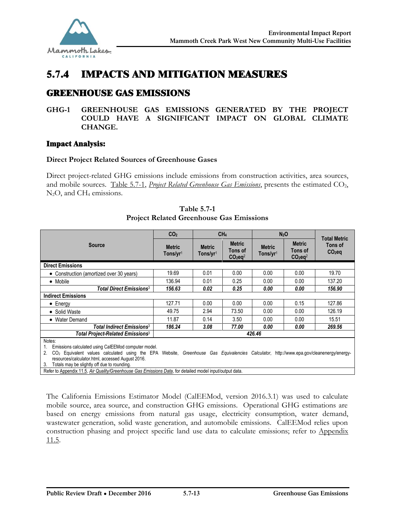

# 5.7.4 IMPACTS AND MITIGATION MEASURES

# GREENHOUSE GAS EMISSIONS

### **GHG-1 GREENHOUSE GAS EMISSIONS GENERATED BY THE PROJECT COULD HAVE A SIGNIFICANT IMPACT ON GLOBAL CLIMATE CHANGE.**

### Impact Analysis:

### **Direct Project Related Sources of Greenhouse Gases**

Direct project-related GHG emissions include emissions from construction activities, area sources, and mobile sources. Table 5.7-1, *Project Related Greenhouse Gas Emissions*, presents the estimated CO<sub>2</sub>,  $N_2O$ , and  $CH_4$  emissions.

|                                                                                                                                                                                                                            | CO <sub>2</sub>                       | CH <sub>4</sub>                       |                                                   | N <sub>2</sub> O                      |                                                   | <b>Total Metric</b> |
|----------------------------------------------------------------------------------------------------------------------------------------------------------------------------------------------------------------------------|---------------------------------------|---------------------------------------|---------------------------------------------------|---------------------------------------|---------------------------------------------------|---------------------|
| <b>Source</b>                                                                                                                                                                                                              | <b>Metric</b><br>Tons/yr <sup>1</sup> | <b>Metric</b><br>Tons/yr <sup>1</sup> | <b>Metric</b><br>Tons of<br>$CO2$ eq <sup>2</sup> | <b>Metric</b><br>Tons/yr <sup>1</sup> | <b>Metric</b><br>Tons of<br>$CO2$ eq <sup>2</sup> | Tons of<br>$CO2$ eq |
| <b>Direct Emissions</b>                                                                                                                                                                                                    |                                       |                                       |                                                   |                                       |                                                   |                     |
| • Construction (amortized over 30 years)                                                                                                                                                                                   | 19.69                                 | 0.01                                  | 0.00                                              | 0.00                                  | 0.00                                              | 19.70               |
| • Mobile                                                                                                                                                                                                                   | 136.94                                | 0.01                                  | 0.25                                              | 0.00                                  | 0.00                                              | 137.20              |
| Total Direct Emissions <sup>3</sup>                                                                                                                                                                                        | 156.63                                | 0.02                                  | 0.25                                              | 0.00                                  | 0.00                                              | 156.90              |
| <b>Indirect Emissions</b>                                                                                                                                                                                                  |                                       |                                       |                                                   |                                       |                                                   |                     |
| $\bullet$ Energy                                                                                                                                                                                                           | 127.71                                | 0.00                                  | 0.00                                              | 0.00                                  | 0.15                                              | 127.86              |
| • Solid Waste                                                                                                                                                                                                              | 49.75                                 | 2.94                                  | 73.50                                             | 0.00                                  | 0.00                                              | 126.19              |
| • Water Demand                                                                                                                                                                                                             | 11.87                                 | 0.14                                  | 3.50                                              | 0.00                                  | 0.00                                              | 15.51               |
| Total Indirect Emissions <sup>3</sup>                                                                                                                                                                                      | 186.24                                | 3.08                                  | 77.00                                             | 0.00                                  | 0.00                                              | 269.56              |
| Total Project-Related Emissions <sup>3</sup>                                                                                                                                                                               | 426.46                                |                                       |                                                   |                                       |                                                   |                     |
| Notes:<br>Emissions calculated using CalEEMod computer model.<br>CO <sub>2</sub> Equivalent values calculated using the EPA Website, Greenhouse Gas Equivalencies Calculator, http://www.epa.gov/cleanenergy/energy-<br>2. |                                       |                                       |                                                   |                                       |                                                   |                     |

**Table 5.7-1 Project Related Greenhouse Gas Emissions**

resources/calculator.html, accessed August 2016.

Totals may be slightly off due to rounding.

Refer to Appendix 11.5, *Air Quality/Greenhouse Gas Emissions Data*, for detailed model input/output data.

The California Emissions Estimator Model (CalEEMod, version 2016.3.1) was used to calculate mobile source, area source, and construction GHG emissions. Operational GHG estimations are based on energy emissions from natural gas usage, electricity consumption, water demand, wastewater generation, solid waste generation, and automobile emissions. CalEEMod relies upon construction phasing and project specific land use data to calculate emissions; refer to Appendix 11.5.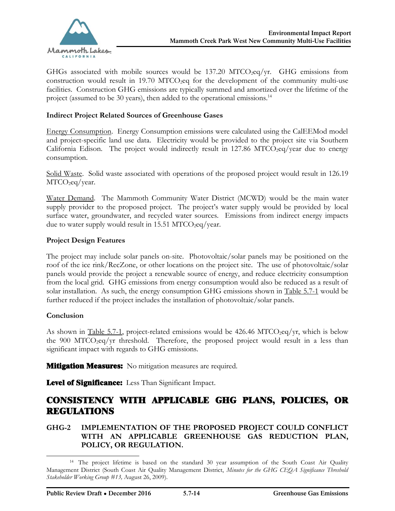

GHGs associated with mobile sources would be  $137.20 \text{ MTCO}_2\text{eq/yr}$ . GHG emissions from construction would result in 19.70 MTCO<sub>2</sub>eq for the development of the community multi-use facilities. Construction GHG emissions are typically summed and amortized over the lifetime of the project (assumed to be 30 years), then added to the operational emissions.<sup>14</sup>

### **Indirect Project Related Sources of Greenhouse Gases**

Energy Consumption. Energy Consumption emissions were calculated using the CalEEMod model and project-specific land use data. Electricity would be provided to the project site via Southern California Edison. The project would indirectly result in  $127.86$  MTCO<sub>2</sub>eq/year due to energy consumption.

Solid Waste. Solid waste associated with operations of the proposed project would result in 126.19 MTCO<sub>2</sub>eq/year.

Water Demand. The Mammoth Community Water District (MCWD) would be the main water supply provider to the proposed project. The project's water supply would be provided by local surface water, groundwater, and recycled water sources. Emissions from indirect energy impacts due to water supply would result in 15.51 MTCO<sub>2</sub>eq/year.

### **Project Design Features**

The project may include solar panels on-site. Photovoltaic/solar panels may be positioned on the roof of the ice rink/RecZone, or other locations on the project site. The use of photovoltaic/solar panels would provide the project a renewable source of energy, and reduce electricity consumption from the local grid. GHG emissions from energy consumption would also be reduced as a result of solar installation. As such, the energy consumption GHG emissions shown in Table 5.7-1 would be further reduced if the project includes the installation of photovoltaic/solar panels.

### **Conclusion**

-

As shown in Table 5.7-1, project-related emissions would be 426.46 MTCO<sub>2</sub>eq/yr, which is below the 900 MTCO<sub>2</sub>eq/yr threshold. Therefore, the proposed project would result in a less than significant impact with regards to GHG emissions.

**Mitigation Measures:** No mitigation measures are required.

**Level of Significance:** Less Than Significant Impact.

### CONSISTENCY WITH APPLICABLE GHG PLANS, POLICIES, OR REGULATIONS

### **GHG-2 IMPLEMENTATION OF THE PROPOSED PROJECT COULD CONFLICT WITH AN APPLICABLE GREENHOUSE GAS REDUCTION PLAN, POLICY, OR REGULATION.**

<sup>&</sup>lt;sup>14</sup> The project lifetime is based on the standard 30 year assumption of the South Coast Air Quality Management District (South Coast Air Quality Management District, *Minutes for the GHG CEQA Significance Threshold Stakeholder Working Group #13,* August 26, 2009).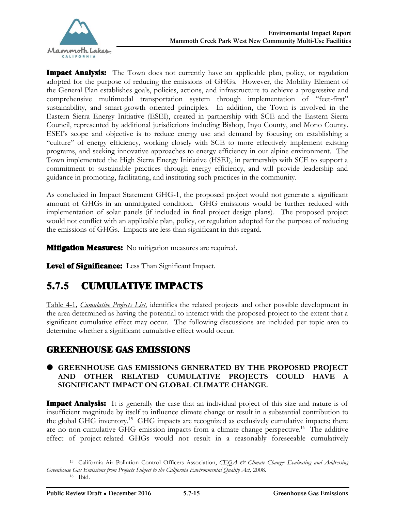

**Impact Analysis:** The Town does not currently have an applicable plan, policy, or regulation adopted for the purpose of reducing the emissions of GHGs. However, the Mobility Element of the General Plan establishes goals, policies, actions, and infrastructure to achieve a progressive and comprehensive multimodal transportation system through implementation of "feet-first" sustainability, and smart-growth oriented principles. In addition, the Town is involved in the Eastern Sierra Energy Initiative (ESEI), created in partnership with SCE and the Eastern Sierra Council, represented by additional jurisdictions including Bishop, Inyo County, and Mono County. ESEI's scope and objective is to reduce energy use and demand by focusing on establishing a "culture" of energy efficiency, working closely with SCE to more effectively implement existing programs, and seeking innovative approaches to energy efficiency in our alpine environment. The Town implemented the High Sierra Energy Initiative (HSEI), in partnership with SCE to support a commitment to sustainable practices through energy efficiency, and will provide leadership and guidance in promoting, facilitating, and instituting such practices in the community.

As concluded in Impact Statement GHG-1, the proposed project would not generate a significant amount of GHGs in an unmitigated condition. GHG emissions would be further reduced with implementation of solar panels (if included in final project design plans). The proposed project would not conflict with an applicable plan, policy, or regulation adopted for the purpose of reducing the emissions of GHGs. Impacts are less than significant in this regard.

**Mitigation Measures:** No mitigation measures are required.

**Level of Significance:** Less Than Significant Impact.

# 5.7.5 CUMULATIVE IMPACTS

Table 4-1*, Cumulative Projects List*, identifies the related projects and other possible development in the area determined as having the potential to interact with the proposed project to the extent that a significant cumulative effect may occur. The following discussions are included per topic area to determine whether a significant cumulative effect would occur.

## GREENHOUSE GAS EMISSIONS

### **GREENHOUSE GAS EMISSIONS GENERATED BY THE PROPOSED PROJECT AND OTHER RELATED CUMULATIVE PROJECTS COULD HAVE A SIGNIFICANT IMPACT ON GLOBAL CLIMATE CHANGE.**

**Impact Analysis:** It is generally the case that an individual project of this size and nature is of insufficient magnitude by itself to influence climate change or result in a substantial contribution to the global GHG inventory.<sup>15</sup> GHG impacts are recognized as exclusively cumulative impacts; there are no non-cumulative GHG emission impacts from a climate change perspective.<sup>16</sup> The additive effect of project-related GHGs would not result in a reasonably foreseeable cumulatively

 $\overline{a}$ 

<sup>15</sup> California Air Pollution Control Officers Association, *CEQA & Climate Change: Evaluating and Addressing Greenhouse Gas Emissions from Projects Subject to the California Environmental Quality Act,* 2008. <sup>16</sup> Ibid.